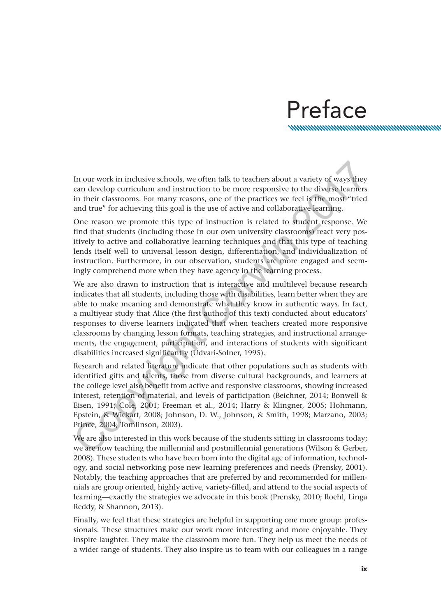# Preface

In our work in inclusive schools, we often talk to teachers about a variety of ways they can develop curriculum and instruction to be more responsive to the diverse learners in their classrooms. For many reasons, one of the practices we feel is the most "tried and true" for achieving this goal is the use of active and collaborative learning.

One reason we promote this type of instruction is related to student response. We find that students (including those in our own university classrooms) react very positively to active and collaborative learning techniques and that this type of teaching lends itself well to universal lesson design, differentiation, and individualization of instruction. Furthermore, in our observation, students are more engaged and seemingly comprehend more when they have agency in the learning process.

We are also drawn to instruction that is interactive and multilevel because research indicates that all students, including those with disabilities, learn better when they are able to make meaning and demonstrate what they know in authentic ways. In fact, a multiyear study that Alice (the first author of this text) conducted about educators' responses to diverse learners indicated that when teachers created more responsive classrooms by changing lesson formats, teaching strategies, and instructional arrangements, the engagement, participation, and interactions of students with significant disabilities increased significantly (Udvari-Solner, 1995). In our work in inclusive schools, we often talk to teachers about a variety of ways they can develop curriculum and instruction to be more responsive to the diverse learners in their classrooms. For many reasons, one of t

Research and related literature indicate that other populations such as students with identified gifts and talents, those from diverse cultural backgrounds, and learners at the college level also benefit from active and responsive classrooms, showing increased interest, retention of material, and levels of participation (Beichner, 2014; Bonwell & Eisen, 1991; Cole, 2001; Freeman et al., 2014; Harry & Klingner, 2005; Hohmann, Epstein, & Wiekart, 2008; Johnson, D. W., Johnson, & Smith, 1998; Marzano, 2003; Prince, 2004; Tomlinson, 2003).

We are also interested in this work because of the students sitting in classrooms today; we are now teaching the millennial and postmillennial generations (Wilson & Gerber, 2008). These students who have been born into the digital age of information, technology, and social networking pose new learning preferences and needs (Prensky, 2001). Notably, the teaching approaches that are preferred by and recommended for millennials are group oriented, highly active, variety-filled, and attend to the social aspects of learning—exactly the strategies we advocate in this book (Prensky, 2010; Roehl, Linga Reddy, & Shannon, 2013).

Finally, we feel that these strategies are helpful in supporting one more group: professionals. These structures make our work more interesting and more enjoyable. They inspire laughter. They make the classroom more fun. They help us meet the needs of a wider range of students. They also inspire us to team with our colleagues in a range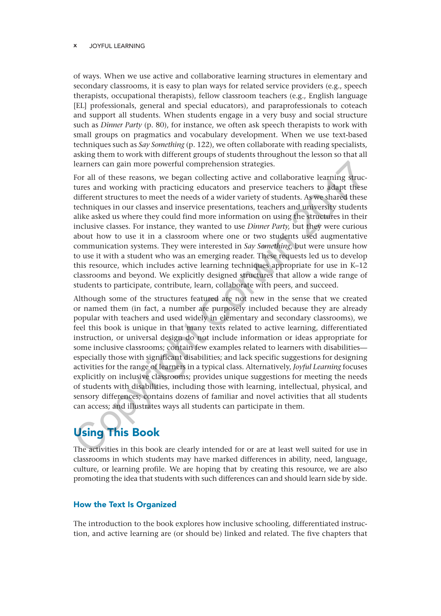#### x JOYFUL LEARNING

of ways. When we use active and collaborative learning structures in elementary and secondary classrooms, it is easy to plan ways for related service providers (e.g., speech therapists, occupational therapists), fellow classroom teachers (e.g., English language [EL] professionals, general and special educators), and paraprofessionals to coteach and support all students. When students engage in a very busy and social structure such as *Dinner Party* (p. 80), for instance, we often ask speech therapists to work with small groups on pragmatics and vocabulary development. When we use text-based techniques such as *Say Something* (p. 122), we often collaborate with reading specialists, asking them to work with different groups of students throughout the lesson so that all learners can gain more powerful comprehension strategies.

For all of these reasons, we began collecting active and collaborative learning structures and working with practicing educators and preservice teachers to adapt these different structures to meet the needs of a wider variety of students. As we shared these techniques in our classes and inservice presentations, teachers and university students alike asked us where they could find more information on using the structures in their inclusive classes. For instance, they wanted to use *Dinner Party,* but they were curious about how to use it in a classroom where one or two students used augmentative communication systems. They were interested in *Say Something,* but were unsure how to use it with a student who was an emerging reader. These requests led us to develop this resource, which includes active learning techniques appropriate for use in K–12 classrooms and beyond. We explicitly designed structures that allow a wide range of students to participate, contribute, learn, collaborate with peers, and succeed.

Although some of the structures featured are not new in the sense that we created or named them (in fact, a number are purposely included because they are already popular with teachers and used widely in elementary and secondary classrooms), we feel this book is unique in that many texts related to active learning, differentiated instruction, or universal design do not include information or ideas appropriate for some inclusive classrooms; contain few examples related to learners with disabilities especially those with significant disabilities; and lack specific suggestions for designing activities for the range of learners in a typical class. Alternatively, *Joyful Learning* focuses explicitly on inclusive classrooms; provides unique suggestions for meeting the needs of students with disabilities, including those with learning, intellectual, physical, and sensory differences; contains dozens of familiar and novel activities that all students can access; and illustrates ways all students can participate in them. learners can gain more powerful comprehension strategies.<br>
For all of these reasons, we began collecting active and collaborative learning structures and working with practicing celucators and preservice teachers to adapt

## Using This Book

The activities in this book are clearly intended for or are at least well suited for use in classrooms in which students may have marked differences in ability, need, language, culture, or learning profile. We are hoping that by creating this resource, we are also promoting the idea that students with such differences can and should learn side by side.

#### How the Text Is Organized

The introduction to the book explores how inclusive schooling, differentiated instruction, and active learning are (or should be) linked and related. The five chapters that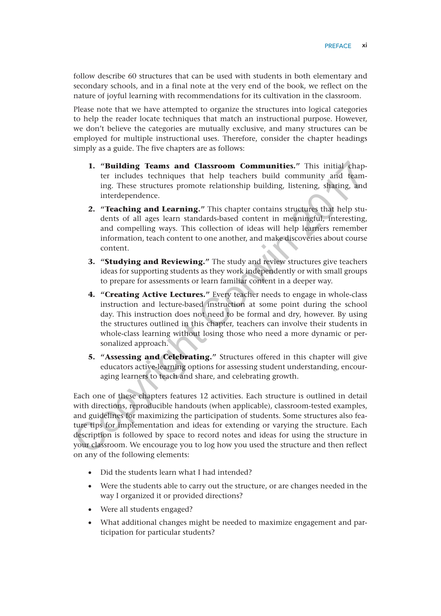follow describe 60 structures that can be used with students in both elementary and secondary schools, and in a final note at the very end of the book, we reflect on the nature of joyful learning with recommendations for its cultivation in the classroom.

Please note that we have attempted to organize the structures into logical categories to help the reader locate techniques that match an instructional purpose. However, we don't believe the categories are mutually exclusive, and many structures can be employed for multiple instructional uses. Therefore, consider the chapter headings simply as a guide. The five chapters are as follows:

- **1. "Building Teams and Classroom Communities."** This initial chapter includes techniques that help teachers build community and teaming. These structures promote relationship building, listening, sharing, and interdependence.
- **2. "Teaching and Learning."** This chapter contains structures that help students of all ages learn standards-based content in meaningful, interesting, and compelling ways. This collection of ideas will help learners remember information, teach content to one another, and make discoveries about course content.
- **3. "Studying and Reviewing."** The study and review structures give teachers ideas for supporting students as they work independently or with small groups to prepare for assessments or learn familiar content in a deeper way.
- **4. "Creating Active Lectures."** Every teacher needs to engage in whole-class instruction and lecture-based instruction at some point during the school day. This instruction does not need to be formal and dry, however. By using the structures outlined in this chapter, teachers can involve their students in whole-class learning without losing those who need a more dynamic or personalized approach.
- **5. "Assessing and Celebrating."** Structures offered in this chapter will give educators active-learning options for assessing student understanding, encouraging learners to teach and share, and celebrating growth.

Each one of these chapters features 12 activities. Each structure is outlined in detail with directions, reproducible handouts (when applicable), classroom-tested examples, and guidelines for maximizing the participation of students. Some structures also feature tips for implementation and ideas for extending or varying the structure. Each description is followed by space to record notes and ideas for using the structure in your classroom. We encourage you to log how you used the structure and then reflect on any of the following elements: **1. "Building Teams and Classroom Communities."** This initial chap-<br>ter includes techniques that help teachers build community and team-<br>ing. These structures promote relationship building, listening, sharing, and<br>interde

- Did the students learn what I had intended?
- Were the students able to carry out the structure, or are changes needed in the way I organized it or provided directions?
- Were all students engaged?
- What additional changes might be needed to maximize engagement and participation for particular students?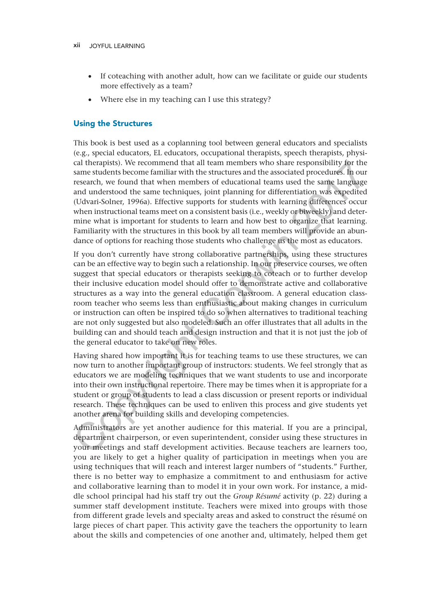- If coteaching with another adult, how can we facilitate or guide our students more effectively as a team?
- Where else in my teaching can I use this strategy?

#### Using the Structures

This book is best used as a coplanning tool between general educators and specialists (e.g., special educators, EL educators, occupational therapists, speech therapists, physical therapists). We recommend that all team members who share responsibility for the same students become familiar with the structures and the associated procedures. In our research, we found that when members of educational teams used the same language and understood the same techniques, joint planning for differentiation was expedited (Udvari-Solner, 1996a). Effective supports for students with learning differences occur when instructional teams meet on a consistent basis (i.e., weekly or biweekly) and determine what is important for students to learn and how best to organize that learning. Familiarity with the structures in this book by all team members will provide an abundance of options for reaching those students who challenge us the most as educators.

If you don't currently have strong collaborative partnerships, using these structures can be an effective way to begin such a relationship. In our preservice courses, we often suggest that special educators or therapists seeking to coteach or to further develop their inclusive education model should offer to demonstrate active and collaborative structures as a way into the general education classroom. A general education classroom teacher who seems less than enthusiastic about making changes in curriculum or instruction can often be inspired to do so when alternatives to traditional teaching are not only suggested but also modeled. Such an offer illustrates that all adults in the building can and should teach and design instruction and that it is not just the job of the general educator to take on new roles. cal therapists). We recommend that all team members who share responsibility ber the reacted throat same students become familiar with the structures and the societal procedures. In our research, we found that when members

Having shared how important it is for teaching teams to use these structures, we can now turn to another important group of instructors: students. We feel strongly that as educators we are modeling techniques that we want students to use and incorporate into their own instructional repertoire. There may be times when it is appropriate for a student or group of students to lead a class discussion or present reports or individual research. These techniques can be used to enliven this process and give students yet another arena for building skills and developing competencies.

Administrators are yet another audience for this material. If you are a principal, department chairperson, or even superintendent, consider using these structures in your meetings and staff development activities. Because teachers are learners too, you are likely to get a higher quality of participation in meetings when you are using techniques that will reach and interest larger numbers of "students." Further, there is no better way to emphasize a commitment to and enthusiasm for active and collaborative learning than to model it in your own work. For instance, a middle school principal had his staff try out the *Group Résumé* activity (p. 22) during a summer staff development institute. Teachers were mixed into groups with those from different grade levels and specialty areas and asked to construct the résumé on large pieces of chart paper. This activity gave the teachers the opportunity to learn about the skills and competencies of one another and, ultimately, helped them get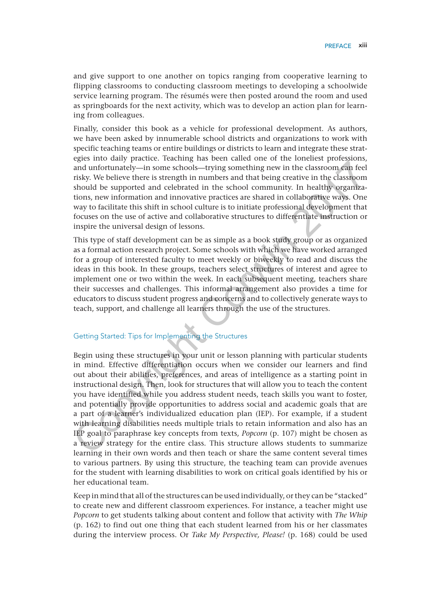and give support to one another on topics ranging from cooperative learning to flipping classrooms to conducting classroom meetings to developing a schoolwide service learning program. The résumés were then posted around the room and used as springboards for the next activity, which was to develop an action plan for learning from colleagues.

Finally, consider this book as a vehicle for professional development. As authors, we have been asked by innumerable school districts and organizations to work with specific teaching teams or entire buildings or districts to learn and integrate these strategies into daily practice. Teaching has been called one of the loneliest professions, and unfortunately—in some schools—trying something new in the classroom can feel risky. We believe there is strength in numbers and that being creative in the classroom should be supported and celebrated in the school community. In healthy organizations, new information and innovative practices are shared in collaborative ways. One way to facilitate this shift in school culture is to initiate professional development that focuses on the use of active and collaborative structures to differentiate instruction or inspire the universal design of lessons.

This type of staff development can be as simple as a book study group or as organized as a formal action research project. Some schools with which we have worked arranged for a group of interested faculty to meet weekly or biweekly to read and discuss the ideas in this book. In these groups, teachers select structures of interest and agree to implement one or two within the week. In each subsequent meeting, teachers share their successes and challenges. This informal arrangement also provides a time for educators to discuss student progress and concerns and to collectively generate ways to teach, support, and challenge all learners through the use of the structures.

### Getting Started: Tips for Implementing the Structures

Begin using these structures in your unit or lesson planning with particular students in mind. Effective differentiation occurs when we consider our learners and find out about their abilities, preferences, and areas of intelligence as a starting point in instructional design. Then, look for structures that will allow you to teach the content you have identified while you address student needs, teach skills you want to foster, and potentially provide opportunities to address social and academic goals that are a part of a learner's individualized education plan (IEP). For example, if a student with learning disabilities needs multiple trials to retain information and also has an IEP goal to paraphrase key concepts from texts, *Popcorn* (p. 107) might be chosen as a review strategy for the entire class. This structure allows students to summarize learning in their own words and then teach or share the same content several times to various partners. By using this structure, the teaching team can provide avenues for the student with learning disabilities to work on critical goals identified by his or her educational team. and unfortunately—in some schools—trying something new in the classroon can feel<br>and unfortunately—in some schools—trying something new in the classroon can feel<br>should be supported and celebrated in the school community.

Keep in mind that all of the structures can be used individually, or they can be "stacked" to create new and different classroom experiences. For instance, a teacher might use *Popcorn* to get students talking about content and follow that activity with *The Whip* (p. 162) to find out one thing that each student learned from his or her classmates during the interview process. Or *Take My Perspective, Please!* (p. 168) could be used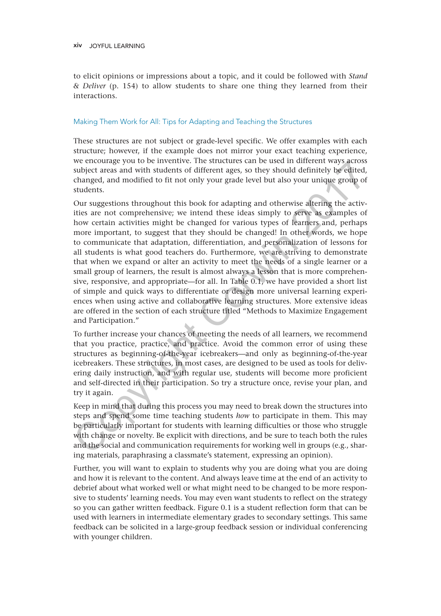to elicit opinions or impressions about a topic, and it could be followed with *Stand & Deliver* (p. 154) to allow students to share one thing they learned from their interactions.

#### Making Them Work for All: Tips for Adapting and Teaching the Structures

These structures are not subject or grade-level specific. We offer examples with each structure; however, if the example does not mirror your exact teaching experience, we encourage you to be inventive. The structures can be used in different ways across subject areas and with students of different ages, so they should definitely be edited, changed, and modified to fit not only your grade level but also your unique group of students.

Our suggestions throughout this book for adapting and otherwise altering the activities are not comprehensive; we intend these ideas simply to serve as examples of how certain activities might be changed for various types of learners and, perhaps more important, to suggest that they should be changed! In other words, we hope to communicate that adaptation, differentiation, and personalization of lessons for all students is what good teachers do. Furthermore, we are striving to demonstrate that when we expand or alter an activity to meet the needs of a single learner or a small group of learners, the result is almost always a lesson that is more comprehensive, responsive, and appropriate—for all. In Table 0.1, we have provided a short list of simple and quick ways to differentiate or design more universal learning experiences when using active and collaborative learning structures. More extensive ideas are offered in the section of each structure titled "Methods to Maximize Engagement and Participation." we encourage you to meventure. The soutced as a present mume that was stationary with changed, and modified to fit not only your grade level but also your unique group of students.<br>
changed, and modified to fit not only yo

To further increase your chances of meeting the needs of all learners, we recommend that you practice, practice, and practice. Avoid the common error of using these structures as beginning-of-the-year icebreakers—and only as beginning-of-the-year icebreakers. These structures, in most cases, are designed to be used as tools for delivering daily instruction, and with regular use, students will become more proficient and self-directed in their participation. So try a structure once, revise your plan, and try it again.

Keep in mind that during this process you may need to break down the structures into steps and spend some time teaching students *how* to participate in them. This may be particularly important for students with learning difficulties or those who struggle with change or novelty. Be explicit with directions, and be sure to teach both the rules and the social and communication requirements for working well in groups (e.g., sharing materials, paraphrasing a classmate's statement, expressing an opinion).

Further, you will want to explain to students why you are doing what you are doing and how it is relevant to the content. And always leave time at the end of an activity to debrief about what worked well or what might need to be changed to be more responsive to students' learning needs. You may even want students to reflect on the strategy so you can gather written feedback. Figure 0.1 is a student reflection form that can be used with learners in intermediate elementary grades to secondary settings. This same feedback can be solicited in a large-group feedback session or individual conferencing with younger children.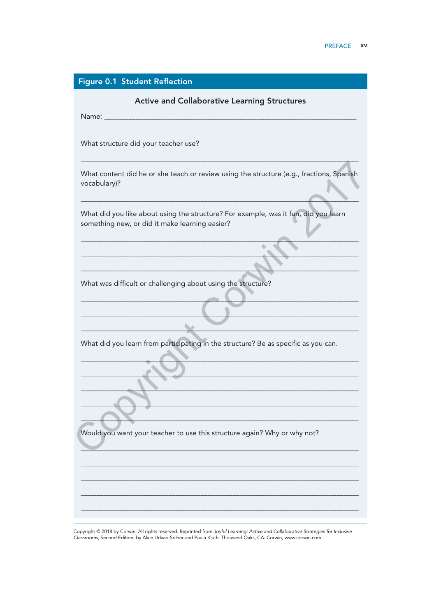| <b>Figure 0.1 Student Reflection</b>                                                                                                  |
|---------------------------------------------------------------------------------------------------------------------------------------|
| <b>Active and Collaborative Learning Structures</b>                                                                                   |
| Name:                                                                                                                                 |
| What structure did your teacher use?                                                                                                  |
| What content did he or she teach or review using the structure (e.g., fractions, Spanish<br>vocabulary)?                              |
| What did you like about using the structure? For example, was it fun, did you learn<br>something new, or did it make learning easier? |
|                                                                                                                                       |
| What was difficult or challenging about using the structure?                                                                          |
|                                                                                                                                       |
|                                                                                                                                       |
| What did you learn from participating in the structure? Be as specific as you can.                                                    |
|                                                                                                                                       |
|                                                                                                                                       |
| Would you want your teacher to use this structure again? Why or why not?                                                              |
|                                                                                                                                       |
|                                                                                                                                       |
|                                                                                                                                       |
|                                                                                                                                       |

Copyright © 2018 by Corwin. All rights reserved. Reprinted from Joyful Learning: Active and Collaborative Strategies for Inclusive<br>Classrooms, Second Edition, by Alice Udvari-Solner and Paula Kluth. Thousand Oaks, CA: Corw